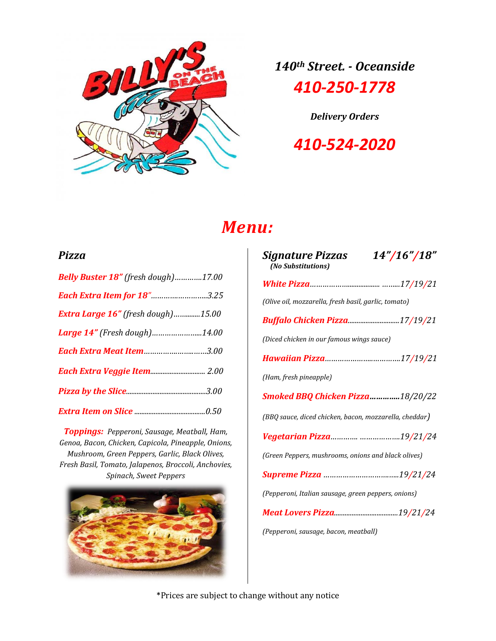

*140th Street. - Oceanside 410-250-1778*

*Delivery Orders*

*410-524-2020*

## *Menu:*

#### *Pizza*

| Belly Buster 18" (fresh dough)17.00       |  |
|-------------------------------------------|--|
| <b>Each Extra Item for 18"3.25</b>        |  |
| <b>Extra Large 16"</b> (fresh dough)15.00 |  |
| Large 14" (Fresh dough)14.00              |  |
| Each Extra Meat Item3.00                  |  |
|                                           |  |
|                                           |  |
|                                           |  |

*Toppings: Pepperoni, Sausage, Meatball, Ham, Genoa, Bacon, Chicken, Capicola, Pineapple, Onions, Mushroom, Green Peppers, Garlic, Black Olives, Fresh Basil, Tomato, Jalapenos, Broccoli, Anchovies, Spinach, Sweet Peppers*



| 14"/16"/18"<br>Signature Pizzas<br>(No Substitutions)  |
|--------------------------------------------------------|
|                                                        |
| (Olive oil, mozzarella, fresh basil, garlic, tomato)   |
| <b>Buffalo Chicken Pizza17/19/21</b>                   |
| (Diced chicken in our famous wings sauce)              |
|                                                        |
| (Ham, fresh pineapple)                                 |
| Smoked BBQ Chicken Pizza18/20/22                       |
| (BBQ sauce, diced chicken, bacon, mozzarella, cheddar) |
|                                                        |
| (Green Peppers, mushrooms, onions and black olives)    |
|                                                        |
| (Pepperoni, Italian sausage, green peppers, onions)    |
|                                                        |
| (Pepperoni, sausage, bacon, meatball)                  |

\*Prices are subject to change without any notice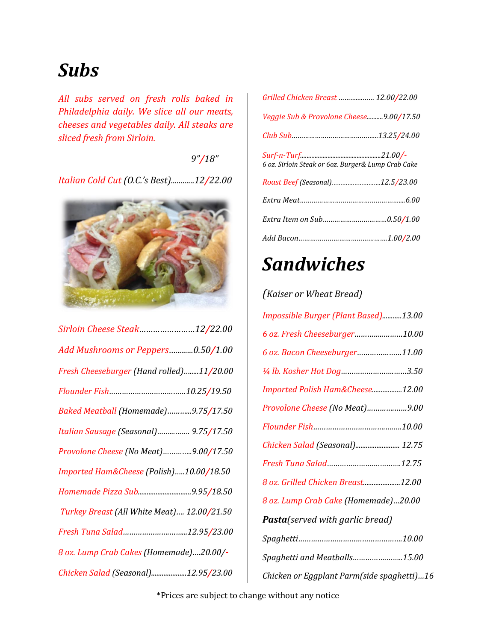## *Subs*

*All subs served on fresh rolls baked in Philadelphia daily. We slice all our meats, cheeses and vegetables daily. All steaks are sliced fresh from Sirloin.*

 *9"/18"*

*Italian Cold Cut (O.C.'s Best)............12/22.00*



| Sirloin Cheese Steak12/22.00               |
|--------------------------------------------|
| Add Mushrooms or Peppers0.50/1.00          |
| Fresh Cheeseburger (Hand rolled)11/20.00   |
|                                            |
| Baked Meatball (Homemade)9.75/17.50        |
| Italian Sausage (Seasonal) 9.75/17.50      |
| Provolone Cheese (No Meat)9.00/17.50       |
| Imported Ham&Cheese (Polish)10.00/18.50    |
|                                            |
| Turkey Breast (All White Meat) 12.00/21.50 |
| Fresh Tuna Salad12.95/23.00                |
| 8 oz. Lump Crab Cakes (Homemade)20.00/-    |
| Chicken Salad (Seasonal)12.95/23.00        |

| Grilled Chicken Breast  12.00/22.00                |
|----------------------------------------------------|
| Veggie Sub & Provolone Cheese9.00/17.50            |
|                                                    |
| 6 oz. Sirloin Steak or 6oz. Burger& Lump Crab Cake |
| Roast Beef (Seasonal)12.5/23.00                    |
|                                                    |
|                                                    |
|                                                    |

## *Sandwiches*

#### *(Kaiser or Wheat Bread)*

| Impossible Burger (Plant Based)13.00       |
|--------------------------------------------|
| 6 oz. Fresh Cheeseburger10.00              |
| 6 oz. Bacon Cheeseburger11.00              |
| 1/4 lb. Kosher Hot Dog3.50                 |
| Imported Polish Ham&Cheese12.00            |
| Provolone Cheese (No Meat)9.00             |
|                                            |
| Chicken Salad (Seasonal) 12.75             |
|                                            |
| 8 oz. Grilled Chicken Breast 12.00         |
| 8 oz. Lump Crab Cake (Homemade)20.00       |
| Pasta(served with garlic bread)            |
|                                            |
| Spaghetti and Meatballs15.00               |
| Chicken or Eggplant Parm(side spaghetti)16 |

\*Prices are subject to change without any notice